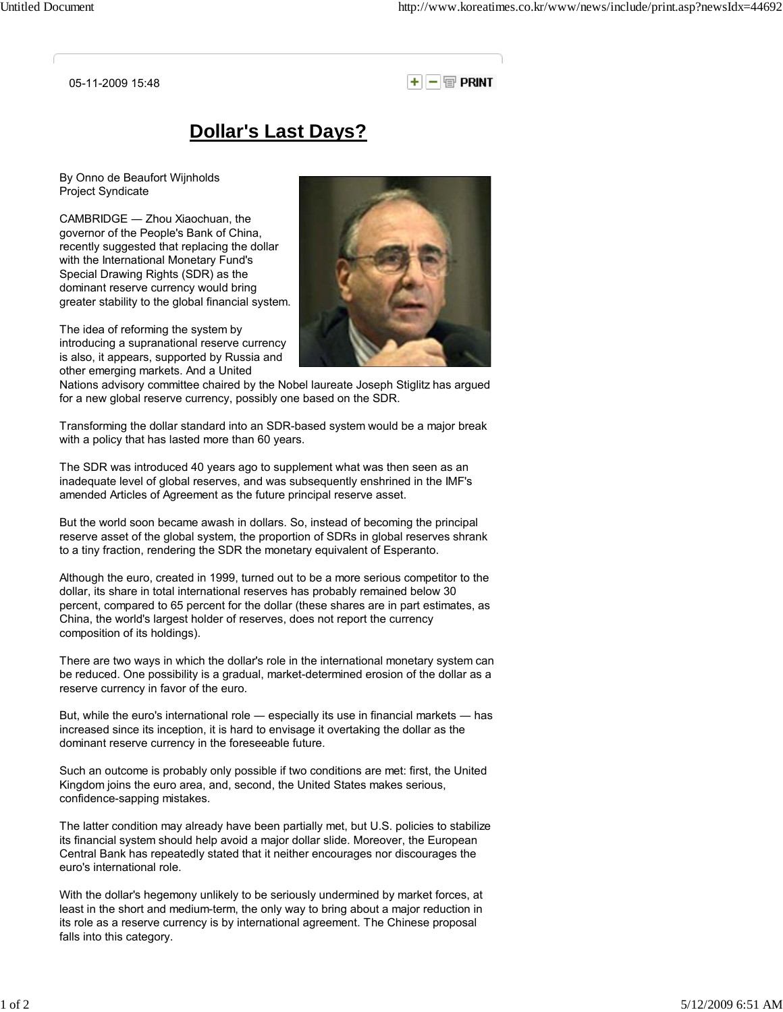05-11-2009 15:48

 $+||-|| \oplus$  print

## **Dollar's Last Days?**

By Onno de Beaufort Wijnholds Project Syndicate

CAMBRIDGE ― Zhou Xiaochuan, the governor of the People's Bank of China, recently suggested that replacing the dollar with the International Monetary Fund's Special Drawing Rights (SDR) as the dominant reserve currency would bring greater stability to the global financial system.

The idea of reforming the system by introducing a supranational reserve currency is also, it appears, supported by Russia and other emerging markets. And a United



Nations advisory committee chaired by the Nobel laureate Joseph Stiglitz has argued for a new global reserve currency, possibly one based on the SDR.

Transforming the dollar standard into an SDR-based system would be a major break with a policy that has lasted more than 60 years.

The SDR was introduced 40 years ago to supplement what was then seen as an inadequate level of global reserves, and was subsequently enshrined in the IMF's amended Articles of Agreement as the future principal reserve asset.

But the world soon became awash in dollars. So, instead of becoming the principal reserve asset of the global system, the proportion of SDRs in global reserves shrank to a tiny fraction, rendering the SDR the monetary equivalent of Esperanto.

Although the euro, created in 1999, turned out to be a more serious competitor to the dollar, its share in total international reserves has probably remained below 30 percent, compared to 65 percent for the dollar (these shares are in part estimates, as China, the world's largest holder of reserves, does not report the currency composition of its holdings).

There are two ways in which the dollar's role in the international monetary system can be reduced. One possibility is a gradual, market-determined erosion of the dollar as a reserve currency in favor of the euro.

But, while the euro's international role ― especially its use in financial markets ― has increased since its inception, it is hard to envisage it overtaking the dollar as the dominant reserve currency in the foreseeable future.

Such an outcome is probably only possible if two conditions are met: first, the United Kingdom joins the euro area, and, second, the United States makes serious, confidence-sapping mistakes.

The latter condition may already have been partially met, but U.S. policies to stabilize its financial system should help avoid a major dollar slide. Moreover, the European Central Bank has repeatedly stated that it neither encourages nor discourages the euro's international role.

With the dollar's hegemony unlikely to be seriously undermined by market forces, at least in the short and medium-term, the only way to bring about a major reduction in its role as a reserve currency is by international agreement. The Chinese proposal falls into this category.